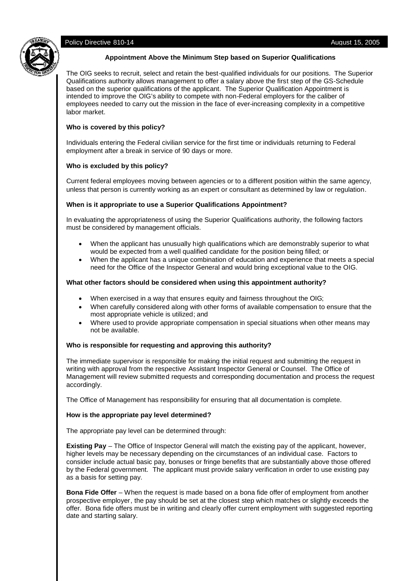# Policy Directive 810-14 **August 15, 2005 August 15, 2005**



#### **Appointment Above the Minimum Step based on Superior Qualifications**

The OIG seeks to recruit, select and retain the best-qualified individuals for our positions. The Superior Qualifications authority allows management to offer a salary above the first step of the GS-Schedule based on the superior qualifications of the applicant. The Superior Qualification Appointment is intended to improve the OIG's ability to compete with non-Federal employers for the caliber of employees needed to carry out the mission in the face of ever-increasing complexity in a competitive labor market.

# **Who is covered by this policy?**

Individuals entering the Federal civilian service for the first time or individuals returning to Federal employment after a break in service of 90 days or more.

# **Who is excluded by this policy?**

Current federal employees moving between agencies or to a different position within the same agency, unless that person is currently working as an expert or consultant as determined by law or regulation.

# **When is it appropriate to use a Superior Qualifications Appointment?**

In evaluating the appropriateness of using the Superior Qualifications authority, the following factors must be considered by management officials.

- When the applicant has unusually high qualifications which are demonstrably superior to what would be expected from a well qualified candidate for the position being filled; or
- When the applicant has a unique combination of education and experience that meets a special need for the Office of the Inspector General and would bring exceptional value to the OIG.

# **What other factors should be considered when using this appointment authority?**

- When exercised in a way that ensures equity and fairness throughout the OIG;
- When carefully considered along with other forms of available compensation to ensure that the most appropriate vehicle is utilized; and
- Where used to provide appropriate compensation in special situations when other means may not be available.

# **Who is responsible for requesting and approving this authority?**

The immediate supervisor is responsible for making the initial request and submitting the request in writing with approval from the respective Assistant Inspector General or Counsel. The Office of Management will review submitted requests and corresponding documentation and process the request accordingly.

The Office of Management has responsibility for ensuring that all documentation is complete.

# **How is the appropriate pay level determined?**

The appropriate pay level can be determined through:

**Existing Pay** – The Office of Inspector General will match the existing pay of the applicant, however, higher levels may be necessary depending on the circumstances of an individual case. Factors to consider include actual basic pay, bonuses or fringe benefits that are substantially above those offered by the Federal government. The applicant must provide salary verification in order to use existing pay as a basis for setting pay.

**Bona Fide Offer** – When the request is made based on a bona fide offer of employment from another prospective employer, the pay should be set at the closest step which matches or slightly exceeds the offer. Bona fide offers must be in writing and clearly offer current employment with suggested reporting date and starting salary.